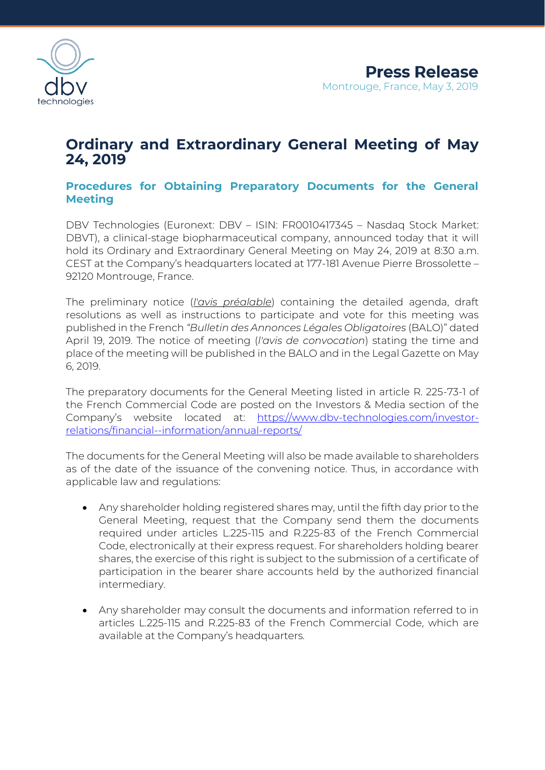

# **Ordinary and Extraordinary General Meeting of May 24, 2019**

# **Procedures for Obtaining Preparatory Documents for the General Meeting**

DBV Technologies (Euronext: DBV – ISIN: FR0010417345 – Nasdaq Stock Market: DBVT), a clinical-stage biopharmaceutical company, announced today that it will hold its Ordinary and Extraordinary General Meeting on May 24, 2019 at 8:30 a.m. CEST at the Company's headquarters located at 177-181 Avenue Pierre Brossolette – 92120 Montrouge, France.

The preliminary notice (*l'avis préalable*) containing the detailed agenda, draft resolutions as well as instructions to participate and vote for this meeting was published in the French *"Bulletin des Annonces Légales Obligatoires* (BALO)" dated April 19, 2019. The notice of meeting (*l'avis de convocation*) stating the time and place of the meeting will be published in the BALO and in the Legal Gazette on May 6, 2019.

The preparatory documents for the General Meeting listed in article R. 225-73-1 of the French Commercial Code are posted on the Investors & Media section of the Company's website located at: [https://www.dbv-technologies.com/investor](https://www.dbv-technologies.com/investor-relations/financial-information/annual-reports/)[relations/financial--information/annual-reports/](https://www.dbv-technologies.com/investor-relations/financial-information/annual-reports/)

The documents for the General Meeting will also be made available to shareholders as of the date of the issuance of the convening notice. Thus, in accordance with applicable law and regulations:

- Any shareholder holding registered shares may, until the fifth day prior to the General Meeting, request that the Company send them the documents required under articles L.225-115 and R.225-83 of the French Commercial Code, electronically at their express request. For shareholders holding bearer shares, the exercise of this right is subject to the submission of a certificate of participation in the bearer share accounts held by the authorized financial intermediary.
- Any shareholder may consult the documents and information referred to in articles L.225-115 and R.225-83 of the French Commercial Code, which are available at the Company's headquarters*.*